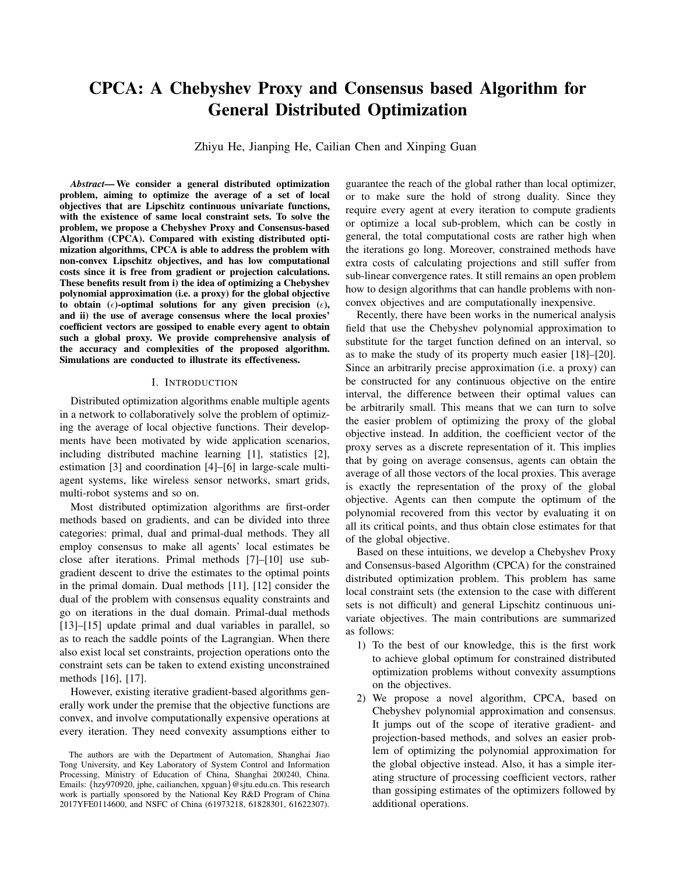# **CPCA:** A Chebyshev Proxy and Consensus based Algorithm for **General Distributed Optimization**

Zhiyu He, Jianping He, Cailian Chen and Xinping Guan

Abstract—We consider a general distributed optimization problem, aiming to optimize the average of a set of local objectives that are Lipschitz continuous univariate functions, with the existence of same local constraint sets. To solve the problem, we propose a Chebyshev Proxy and Consensus-based Algorithm (CPCA). Compared with existing distributed optimization algorithms, CPCA is able to address the problem with non-convex Lipschitz objectives, and has low computational costs since it is free from gradient or projection calculations. These benefits result from i) the idea of optimizing a Chebyshev polynomial approximation (i.e. a proxy) for the global objective to obtain ( $\epsilon$ )-optimal solutions for any given precision ( $\epsilon$ ), and ii) the use of average consensus where the local proxies' coefficient vectors are gossiped to enable every agent to obtain such a global proxy. We provide comprehensive analysis of the accuracy and complexities of the proposed algorithm. Simulations are conducted to illustrate its effectiveness.

## I. INTRODUCTION

Distributed optimization algorithms enable multiple agents in a network to collaboratively solve the problem of optimizing the average of local objective functions. Their developments have been motivated by wide application scenarios, including distributed machine learning [1], statistics [2], estimation [3] and coordination [4]–[6] in large-scale multiagent systems, like wireless sensor networks, smart grids, multi-robot systems and so on.

Most distributed optimization algorithms are first-order methods based on gradients, and can be divided into three categories: primal, dual and primal-dual methods. They all employ consensus to make all agents' local estimates be close after iterations. Primal methods  $[7]-[10]$  use subgradient descent to drive the estimates to the optimal points in the primal domain. Dual methods [11], [12] consider the dual of the problem with consensus equality constraints and go on iterations in the dual domain. Primal-dual methods [13]–[15] update primal and dual variables in parallel, so as to reach the saddle points of the Lagrangian. When there also exist local set constraints, projection operations onto the constraint sets can be taken to extend existing unconstrained methods [16], [17].

However, existing iterative gradient-based algorithms generally work under the premise that the objective functions are convex, and involve computationally expensive operations at every iteration. They need convexity assumptions either to guarantee the reach of the global rather than local optimizer, or to make sure the hold of strong duality. Since they require every agent at every iteration to compute gradients or optimize a local sub-problem, which can be costly in general, the total computational costs are rather high when the iterations go long. Moreover, constrained methods have extra costs of calculating projections and still suffer from sub-linear convergence rates. It still remains an open problem how to design algorithms that can handle problems with nonconvex objectives and are computationally inexpensive.

Recently, there have been works in the numerical analysis field that use the Chebyshev polynomial approximation to substitute for the target function defined on an interval, so as to make the study of its property much easier  $[18]-[20]$ . Since an arbitrarily precise approximation (i.e. a proxy) can be constructed for any continuous objective on the entire interval, the difference between their optimal values can be arbitrarily small. This means that we can turn to solve the easier problem of optimizing the proxy of the global objective instead. In addition, the coefficient vector of the proxy serves as a discrete representation of it. This implies that by going on average consensus, agents can obtain the average of all those vectors of the local proxies. This average is exactly the representation of the proxy of the global objective. Agents can then compute the optimum of the polynomial recovered from this vector by evaluating it on all its critical points, and thus obtain close estimates for that of the global objective.

Based on these intuitions, we develop a Chebyshev Proxy and Consensus-based Algorithm (CPCA) for the constrained distributed optimization problem. This problem has same local constraint sets (the extension to the case with different sets is not difficult) and general Lipschitz continuous univariate objectives. The main contributions are summarized as follows:

- 1) To the best of our knowledge, this is the first work to achieve global optimum for constrained distributed optimization problems without convexity assumptions on the objectives.
- 2) We propose a novel algorithm, CPCA, based on Chebyshev polynomial approximation and consensus. It jumps out of the scope of iterative gradient- and projection-based methods, and solves an easier problem of optimizing the polynomial approximation for the global objective instead. Also, it has a simple iterating structure of processing coefficient vectors, rather than gossiping estimates of the optimizers followed by additional operations.

The authors are with the Department of Automation, Shanghai Jiao Tong University, and Key Laboratory of System Control and Information Processing, Ministry of Education of China, Shanghai 200240, China. Emails: {hzy970920, jphe, cailianchen, xpguan}@sjtu.edu.cn. This research work is partially sponsored by the National Key R&D Program of China 2017YFE0114600, and NSFC of China (61973218, 61828301, 61622307).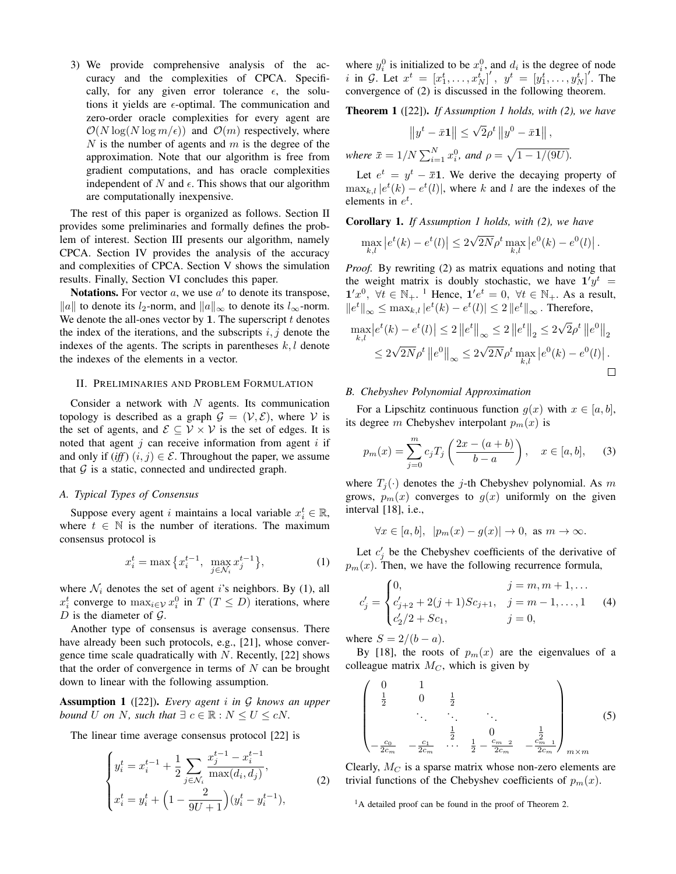3) We provide comprehensive analysis of the accuracy and the complexities of CPCA. Specifically, for any given error tolerance  $\epsilon$ , the solutions it yields are  $\epsilon$ -optimal. The communication and zero-order oracle complexities for every agent are  $\mathcal{O}(N \log(N \log m/\epsilon))$  and  $\mathcal{O}(m)$  respectively, where N is the number of agents and  $m$  is the degree of the approximation. Note that our algorithm is free from gradient computations, and has oracle complexities independent of N and  $\epsilon$ . This shows that our algorithm are computationally inexpensive.

The rest of this paper is organized as follows. Section II provides some preliminaries and formally defines the problem of interest. Section III presents our algorithm, namely CPCA. Section IV provides the analysis of the accuracy and complexities of CPCA. Section V shows the simulation results. Finally, Section VI concludes this paper.

**Notations.** For vector  $a$ , we use  $a'$  to denote its transpose, ||a|| to denote its  $l_2$ -norm, and  $||a||_{\infty}$  to denote its  $l_{\infty}$ -norm. We denote the all-ones vector by 1. The superscript  $t$  denotes the index of the iterations, and the subscripts  $i, j$  denote the indexes of the agents. The scripts in parentheses  $k, l$  denote the indexes of the elements in a vector.

#### II. PRELIMINARIES AND PROBLEM FORMULATION

Consider a network with  $N$  agents. Its communication topology is described as a graph  $\mathcal{G} = (\mathcal{V}, \mathcal{E})$ , where V is the set of agents, and  $\mathcal{E} \subseteq \mathcal{V} \times \mathcal{V}$  is the set of edges. It is noted that agent  $j$  can receive information from agent  $i$  if and only if  $(iff)$   $(i, j) \in \mathcal{E}$ . Throughout the paper, we assume that  $\mathcal G$  is a static, connected and undirected graph.

## A. Typical Types of Consensus

Suppose every agent *i* maintains a local variable  $x_i^t \in \mathbb{R}$ , where  $t \in \mathbb{N}$  is the number of iterations. The maximum consensus protocol is

$$
x_i^t = \max\left\{x_i^{t-1}, \ \max_{j \in \mathcal{N}_i} x_j^{t-1}\right\},\tag{1}
$$

where  $\mathcal{N}_i$  denotes the set of agent *i*'s neighbors. By (1), all  $x_i^t$  converge to  $\max_{i \in \mathcal{V}} x_i^0$  in  $T$  ( $T \leq D$ ) iterations, where D is the diameter of  $\mathcal{G}$ .

Another type of consensus is average consensus. There have already been such protocols, e.g., [21], whose convergence time scale quadratically with  $N$ . Recently, [22] shows that the order of convergence in terms of  $N$  can be brought down to linear with the following assumption.

**Assumption 1** ([22]). Every agent i in  $G$  knows an upper bound U on N, such that  $\exists c \in \mathbb{R} : N \leq U \leq cN$ .

The linear time average consensus protocol [22] is

$$
\begin{cases} y_i^t = x_i^{t-1} + \frac{1}{2} \sum_{j \in \mathcal{N}_i} \frac{x_j^{t-1} - x_i^{t-1}}{\max(d_i, d_j)}, \\ x_i^t = y_i^t + \left(1 - \frac{2}{9U+1}\right) (y_i^t - y_i^{t-1}), \end{cases}
$$
(2)

where  $y_i^0$  is initialized to be  $x_i^0$ , and  $d_i$  is the degree of node *i* in G. Let  $x^t = [x_1^t, \dots, x_N^t]'$ ,  $y^t = [y_1^t, \dots, y_N^t]'$ . The convergence of (2) is discussed in the following theorem.

**Theorem 1** ([22]). If Assumption 1 holds, with (2), we have

$$
||y^t - \bar{x}\mathbf{1}|| \le \sqrt{2}\rho^t ||y^0 - \bar{x}\mathbf{1}||,
$$
  
where  $\bar{x} = 1/N \sum_{i=1}^N x_i^0$ , and  $\rho = \sqrt{1 - 1/(9U)}$ .

Let  $e^t = y^t - \overline{x}$ 1. We derive the decaying property of  $\max_{k,l} |e^t(k) - e^t(l)|$ , where k and l are the indexes of the elements in  $e^t$ .

**Corollary 1.** If Assumption 1 holds, with  $(2)$ , we have

$$
\max_{k,l} |e^t(k) - e^t(l)| \le 2\sqrt{2N} \rho^t \max_{k,l} |e^0(k) - e^0(l)|.
$$

*Proof.* By rewriting (2) as matrix equations and noting that the weight matrix is doubly stochastic, we have  $1'y^t =$  $1'x^0$ ,  $\forall t \in \mathbb{N}_+$ . <sup>1</sup> Hence,  $1'e^t = 0$ ,  $\forall t \in \mathbb{N}_+$ . As a result,  $\left\|e^t\right\|_{\infty} \leq \max_{k,l} |e^t(k)-e^t(l)| \leq 2 \left\|e^t\right\|_{\infty}.$  Therefore,

$$
\max_{k,l} |e^t(k) - e^t(l)| \le 2 ||e^t||_{\infty} \le 2 ||e^t||_2 \le 2\sqrt{2\rho^t} ||e^0||_2
$$
  

$$
\le 2\sqrt{2N}\rho^t ||e^0||_{\infty} \le 2\sqrt{2N}\rho^t \max_{k,l} |e^0(k) - e^0(l)|.
$$

#### **B.** Chebyshev Polynomial Approximation

 $\overline{1}$ 

For a Lipschitz continuous function  $g(x)$  with  $x \in [a, b]$ , its degree m Chebyshev interpolant  $p_m(x)$  is

$$
p_m(x) = \sum_{j=0}^{m} c_j T_j \left( \frac{2x - (a+b)}{b-a} \right), \quad x \in [a, b], \quad (3)
$$

where  $T_i(\cdot)$  denotes the j-th Chebyshev polynomial. As m grows,  $p_m(x)$  converges to  $g(x)$  uniformly on the given interval [18], i.e.,

$$
\forall x \in [a, b], \ |p_m(x) - g(x)| \to 0, \text{ as } m \to \infty.
$$

Let  $c_i'$  be the Chebyshev coefficients of the derivative of  $p_m(x)$ . Then, we have the following recurrence formula,

$$
c'_{j} = \begin{cases} 0, & j = m, m+1, \dots \\ c'_{j+2} + 2(j+1)Sc_{j+1}, & j = m-1, \dots, 1 \\ c'_{2}/2 + Sc_{1}, & j = 0, \end{cases}
$$
 (4)

where  $S = 2/(b - a)$ .

By [18], the roots of  $p_m(x)$  are the eigenvalues of a colleague matrix  $M_C$ , which is given by

$$
\begin{pmatrix}\n0 & 1 & & & & \\
\frac{1}{2} & 0 & \frac{1}{2} & & & \\
& \ddots & \ddots & \ddots & & \\
& & \frac{1}{2} & 0 & \frac{1}{2} \\
-\frac{c_0}{2c_m} & -\frac{c_1}{2c_m} & \cdots & \frac{1}{2} - \frac{c_m}{2c_m} & -\frac{c_m}{2c_m}\n\end{pmatrix}_{m \times m}
$$
\n(5)

Clearly,  $M_C$  is a sparse matrix whose non-zero elements are trivial functions of the Chebyshev coefficients of  $p_m(x)$ .

<sup>1</sup>A detailed proof can be found in the proof of Theorem 2.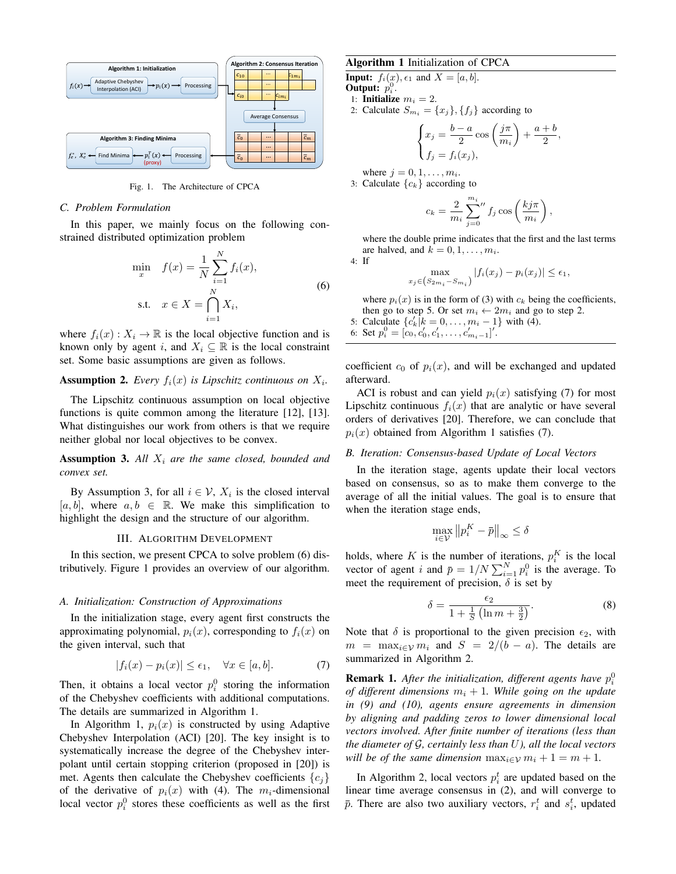

Fig. 1. The Architecture of CPCA

## C. Problem Formulation

In this paper, we mainly focus on the following constrained distributed optimization problem

$$
\min_{x} \quad f(x) = \frac{1}{N} \sum_{i=1}^{N} f_i(x),
$$
\n
$$
\text{s.t.} \quad x \in X = \bigcap_{i=1}^{N} X_i,
$$
\n
$$
(6)
$$

where  $f_i(x): X_i \to \mathbb{R}$  is the local objective function and is known only by agent i, and  $X_i \subseteq \mathbb{R}$  is the local constraint set. Some basic assumptions are given as follows.

# **Assumption 2.** Every  $f_i(x)$  is Lipschitz continuous on  $X_i$ .

The Lipschitz continuous assumption on local objective functions is quite common among the literature [12], [13]. What distinguishes our work from others is that we require neither global nor local objectives to be convex.

**Assumption 3.** All  $X_i$  are the same closed, bounded and convex set.

By Assumption 3, for all  $i \in V$ ,  $X_i$  is the closed interval  $[a, b]$ , where  $a, b \in \mathbb{R}$ . We make this simplification to highlight the design and the structure of our algorithm.

## **III. ALGORITHM DEVELOPMENT**

In this section, we present CPCA to solve problem (6) distributively. Figure 1 provides an overview of our algorithm.

#### A. Initialization: Construction of Approximations

In the initialization stage, every agent first constructs the approximating polynomial,  $p_i(x)$ , corresponding to  $f_i(x)$  on the given interval, such that

$$
|f_i(x) - p_i(x)| \le \epsilon_1, \quad \forall x \in [a, b]. \tag{7}
$$

Then, it obtains a local vector  $p_i^0$  storing the information of the Chebyshev coefficients with additional computations. The details are summarized in Algorithm 1.

In Algorithm 1,  $p_i(x)$  is constructed by using Adaptive Chebyshev Interpolation (ACI) [20]. The key insight is to systematically increase the degree of the Chebyshev interpolant until certain stopping criterion (proposed in [20]) is met. Agents then calculate the Chebyshev coefficients  $\{c_i\}$ of the derivative of  $p_i(x)$  with (4). The  $m_i$ -dimensional local vector  $p_i^0$  stores these coefficients as well as the first

# Algorithm 1 Initialization of CPCA

**Input:**  $f_i(x), \epsilon_1$  and  $X = \overline{[a, b]}$ . Output:  $p_i^0$ .

1: **Initialize**  $m_i = 2$ .

2: Calculate  $S_{m_i} = \{x_j\}, \{f_j\}$  according to

$$
\begin{cases} x_j = \frac{b-a}{2} \cos\left(\frac{j\pi}{m_i}\right) + \frac{a+b}{2}, \\ f_j = f_i(x_j), \end{cases}
$$

where  $j = 0, 1, \ldots, m_i$ .

3: Calculate  $\{c_k\}$  according to

$$
c_k = \frac{2}{m_i} \sum_{j=0}^{m_i} f_j \cos\left(\frac{kj\pi}{m_i}\right),
$$

where the double prime indicates that the first and the last terms are halved, and  $k = 0, 1, \ldots, m_i$ .  $4:$  If

$$
\max_{x_j \in (S_{2m_i} - S_{m_i})} |f_i(x_j) - p_i(x_j)| \le \epsilon_1
$$

where  $p_i(x)$  is in the form of (3) with  $c_k$  being the coefficients, then go to step 5. Or set  $m_i \leftarrow 2m_i$  and go to step 2.

5: Calculate  $\{c'_k | k = 0, ..., m_i - 1\}$  with (4).<br>6: Set  $p_i^0 = [c_0, c'_0, c'_1, ..., c'_{m_i-1}]'$ .

coefficient  $c_0$  of  $p_i(x)$ , and will be exchanged and updated afterward.

ACI is robust and can yield  $p_i(x)$  satisfying (7) for most Lipschitz continuous  $f_i(x)$  that are analytic or have several orders of derivatives [20]. Therefore, we can conclude that  $p_i(x)$  obtained from Algorithm 1 satisfies (7).

## B. Iteration: Consensus-based Update of Local Vectors

In the iteration stage, agents update their local vectors based on consensus, so as to make them converge to the average of all the initial values. The goal is to ensure that when the iteration stage ends,

$$
\max_{i \in \mathcal{V}} \| p_i^K - \bar{p} \|_{\infty} \le \delta
$$

holds, where *K* is the number of iterations,  $p_i^K$  is the local vector of agent *i* and  $\bar{p} = 1/N \sum_{i=1}^{N} p_i^0$  is the average. To meet the requirement of precision,  $\delta$  is set by

$$
\delta = \frac{\epsilon_2}{1 + \frac{1}{S} \left( \ln m + \frac{3}{2} \right)}.
$$
 (8)

Note that  $\delta$  is proportional to the given precision  $\epsilon_2$ , with  $m = \max_{i \in \mathcal{V}} m_i$  and  $S = 2/(b - a)$ . The details are summarized in Algorithm 2.

**Remark 1.** After the initialization, different agents have  $p_i^0$ of different dimensions  $m_i + 1$ . While going on the update in  $(9)$  and  $(10)$ , agents ensure agreements in dimension by aligning and padding zeros to lower dimensional local vectors involved. After finite number of iterations (less than the diameter of  $G$ , certainly less than  $U$ ), all the local vectors will be of the same dimension  $\max_{i \in \mathcal{V}} m_i + 1 = m + 1$ .

In Algorithm 2, local vectors  $p_i^t$  are updated based on the linear time average consensus in  $(2)$ , and will converge to  $\bar{p}$ . There are also two auxiliary vectors,  $r_i^t$  and  $s_i^t$ , updated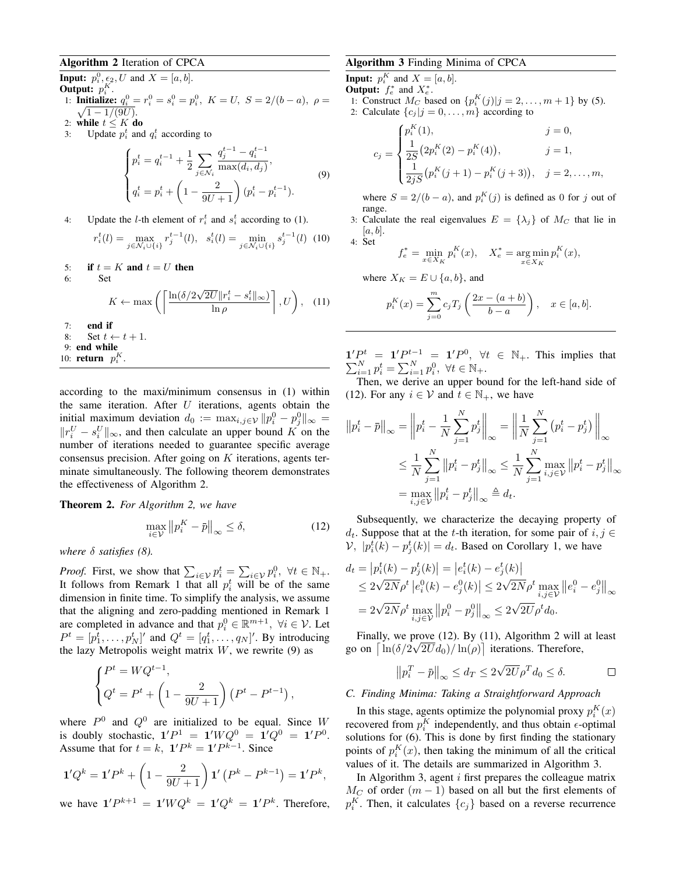# Algorithm 2 Iteration of CPCA

**Input:**  $p_i^0, \epsilon_2, U$  and  $X = [a, b]$ . **Output:**  $p_i^K$ . 1: **Initialize:**  $q_i^0 = r_i^0 = s_i^0 = p_i^0$ ,  $K = U$ ,  $S = 2/(b - a)$ ,  $\rho =$  $\sqrt{1-1/(9U)}$ . 2: while  $t \leq K$  do

Update  $p_i^t$  and  $q_i^t$  according to  $3:$ 

$$
\begin{cases} p_i^t = q_i^{t-1} + \frac{1}{2} \sum_{j \in \mathcal{N}_i} \frac{q_j^{t-1} - q_i^{t-1}}{\max(d_i, d_j)}, \\ q_i^t = p_i^t + \left(1 - \frac{2}{9U+1}\right) (p_i^t - p_i^{t-1}). \end{cases} \tag{9}
$$

Update the *l*-th element of  $r_i^t$  and  $s_i^t$  according to (1).  $4:$ 

$$
r_i^t(l) = \max_{j \in \mathcal{N}_i \cup \{i\}} r_j^{t-1}(l), \quad s_i^t(l) = \min_{j \in \mathcal{N}_i \cup \{i\}} s_j^{t-1}(l) \tag{10}
$$

- $5:$ if  $t = K$  and  $t = U$  then
- 6: **Set**

$$
K \leftarrow \max\left(\left\lceil \frac{\ln(\delta/2\sqrt{2U} \| r_i^t - s_i^t \|_{\infty})}{\ln \rho} \right\rceil, U\right), \quad (11)
$$

- $7:$ end if
- Set  $t \leftarrow t + 1$ .  $8:$
- 9: end while
- 10: **return**  $p_i^K$

according to the maxi/minimum consensus in (1) within the same iteration. After  $U$  iterations, agents obtain the initial maximum deviation  $d_0 := \max_{i,j \in \mathcal{V}} ||p_i^0 - p_j^0||_{\infty} =$  $||r_i^U - s_i^U||_{\infty}$ , and then calculate an upper bound K on the number of iterations needed to guarantee specific average consensus precision. After going on  $K$  iterations, agents terminate simultaneously. The following theorem demonstrates the effectiveness of Algorithm 2.

#### **Theorem 2.** For Algorithm 2, we have

$$
\max_{i \in \mathcal{V}} \| p_i^K - \bar{p} \|_{\infty} \le \delta,
$$
\n(12)

where  $\delta$  satisfies (8).

*Proof.* First, we show that  $\sum_{i \in \mathcal{V}} p_i^t = \sum_{i \in \mathcal{V}} p_i^0$ ,  $\forall t \in \mathbb{N}_+$ . It follows from Remark 1 that all  $p_i^t$  will be of the same dimension in finite time. To simplify the analysis, we assume that the aligning and zero-padding mentioned in Remark 1 are completed in advance and that  $p_i^0 \in \mathbb{R}^{m+1}$ ,  $\forall i \in \mathcal{V}$ . Let  $P^t = [p_1^t, \ldots, p_N^t]'$  and  $Q^t = [q_1^t, \ldots, q_N]'$ . By introducing the lazy Metropolis weight matrix  $W$ , we rewrite (9) as

$$
\begin{cases} P^t = W Q^{t-1}, \\ Q^t = P^t + \left(1 - \frac{2}{9U+1}\right) \left(P^t - P^{t-1}\right), \end{cases}
$$

where  $P^0$  and  $Q^0$  are initialized to be equal. Since W is doubly stochastic,  $1'P^1 = 1'WQ^0 = 1'Q^0 = 1'P^0$ . Assume that for  $t = k$ ,  $\mathbf{1}'P^k = \mathbf{1}'P^{k-1}$ . Since

$$
1'Q^{k} = 1'P^{k} + \left(1 - \frac{2}{9U+1}\right)1'\left(P^{k} - P^{k-1}\right) = 1'P^{k},
$$

we have  $1'P^{k+1} = 1'WQ^k = 1'Q^k = 1'P^k$ . Therefore,

## Algorithm 3 Finding Minima of CPCA

**Input:**  $p_i^K$  and  $X = [a, b]$ .

**Output:**  $f_e^*$  and  $X_e^*$ .

1: Construct  $M_C$  based on  $\{p_i^K(j)|j = 2, \ldots, m+1\}$  by (5).

2: Calculate  $\{c_j | j = 0, \ldots, m\}$  according to

$$
c_j = \begin{cases} p_i^K(1), & j = 0, \\ \frac{1}{2S} (2p_i^K(2) - p_i^K(4)), & j = 1, \\ \frac{1}{2jS} (p_i^K(j+1) - p_i^K(j+3)), & j = 2, ..., m, \end{cases}
$$

where  $S = 2/(b - a)$ , and  $p_i^{K}(j)$  is defined as 0 for j out of range.

3: Calculate the real eigenvalues  $E = {\lambda_i}$  of  $M_C$  that lie in  $[a, b].$ 4: Set

$$
f_e^* = \min_{x \in X_K} p_i^K(x), \quad X_e^* = \argmin_{x \in X_K} p_i^K(x),
$$

where  $X_K = E \cup \{a, b\}$ , and

$$
p_i^K(x) = \sum_{j=0}^{m} c_j T_j \left( \frac{2x - (a+b)}{b-a} \right), \quad x \in [a, b].
$$

 $1'P^t = 1'P^{t-1} = 1'P^0$ ,  $\forall t \in \mathbb{N}_+$ . This implies that  $\sum_{i=1}^{N} p_i^t = \sum_{i=1}^{N} p_i^0, \ \forall t \in \mathbb{N}_+.$ 

Then, we derive an upper bound for the left-hand side of (12). For any  $i \in V$  and  $t \in \mathbb{N}_+$ , we have

$$
||p_i^t - \bar{p}||_{\infty} = \left||p_i^t - \frac{1}{N} \sum_{j=1}^N p_j^t\right||_{\infty} = \left||\frac{1}{N} \sum_{j=1}^N (p_i^t - p_j^t)\right||_{\infty}
$$
  

$$
\leq \frac{1}{N} \sum_{j=1}^N ||p_i^t - p_j^t||_{\infty} \leq \frac{1}{N} \sum_{j=1}^N \max_{i,j \in \mathcal{V}} ||p_i^t - p_j^t||_{\infty}
$$
  

$$
= \max_{i,j \in \mathcal{V}} ||p_i^t - p_j^t||_{\infty} \triangleq d_t.
$$

Subsequently, we characterize the decaying property of  $d_t$ . Suppose that at the t-th iteration, for some pair of  $i, j \in$  $\mathcal{V}, |p_i^t(k) - p_j^t(k)| = d_t$ . Based on Corollary 1, we have

$$
d_{t} = |p_{i}^{t}(k) - p_{j}^{t}(k)| = |e_{i}^{t}(k) - e_{j}^{t}(k)|
$$
  
\n
$$
\leq 2\sqrt{2N} \rho^{t} |e_{i}^{0}(k) - e_{j}^{0}(k)| \leq 2\sqrt{2N} \rho^{t} \max_{i,j \in \mathcal{V}} ||e_{i}^{0} - e_{j}^{0}||_{\infty}
$$
  
\n
$$
= 2\sqrt{2N} \rho^{t} \max_{i,j \in \mathcal{V}} ||p_{i}^{0} - p_{j}^{0}||_{\infty} \leq 2\sqrt{2U} \rho^{t} d_{0}.
$$

Finally, we prove  $(12)$ . By  $(11)$ , Algorithm 2 will at least go on  $\left[\ln(\delta/2\sqrt{2U}d_0)/\ln(\rho)\right]$  iterations. Therefore,

$$
\left\| p_i^T - \bar{p} \right\|_{\infty} \le d_T \le 2\sqrt{2U} \rho^T d_0 \le \delta. \qquad \Box
$$

## C. Finding Minima: Taking a Straightforward Approach

In this stage, agents optimize the polynomial proxy  $p_i^{K}(x)$ recovered from  $p_i^K$  independently, and thus obtain  $\epsilon$ -optimal solutions for (6). This is done by first finding the stationary points of  $p_i^K(x)$ , then taking the minimum of all the critical values of it. The details are summarized in Algorithm 3.

In Algorithm 3, agent  $i$  first prepares the colleague matrix  $M_C$  of order  $(m-1)$  based on all but the first elements of  $p_i^K$ . Then, it calculates  $\{c_i\}$  based on a reverse recurrence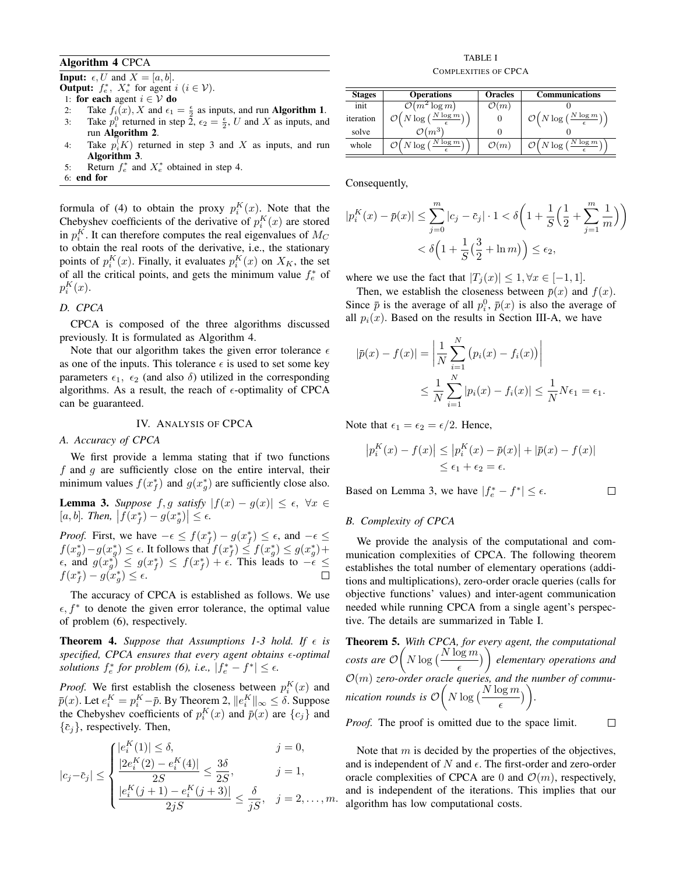# **Algorithm 4 CPCA**

**Input:**  $\epsilon, U$  and  $X = [a, b]$ .

- **Output:**  $f_e^*$ ,  $X_e^*$  for agent  $i$  ( $i \in V$ ).
- 1: for each agent  $i \in V$  do
- $2:$ Take  $f_i(x)$ , X and  $\epsilon_1 = \frac{\epsilon}{2}$  as inputs, and run **Algorithm 1**.
- Take  $p_i^0$  returned in step 2,  $\epsilon_2 = \frac{\epsilon}{2}$ , U and X as inputs, and  $3:$ run Algorithm 2.
- Take  $p_i^k K$  returned in step 3 and X as inputs, and run  $4:$ Algorithm 3.
- Return  $f_e^*$  and  $X_e^*$  obtained in step 4.  $5:$

 $6:$  end for

formula of (4) to obtain the proxy  $p_i^K(x)$ . Note that the Chebyshev coefficients of the derivative of  $p_i^{K}(x)$  are stored in  $p_i^K$ . It can therefore computes the real eigenvalues of  $M_C$ to obtain the real roots of the derivative, i.e., the stationary points of  $p_i^K(x)$ . Finally, it evaluates  $p_i^K(x)$  on  $X_K$ , the set of all the critical points, and gets the minimum value  $f_e^*$  of  $p_i^{K}(x)$ .

## D. CPCA

CPCA is composed of the three algorithms discussed previously. It is formulated as Algorithm 4.

Note that our algorithm takes the given error tolerance  $\epsilon$ as one of the inputs. This tolerance  $\epsilon$  is used to set some key parameters  $\epsilon_1$ ,  $\epsilon_2$  (and also  $\delta$ ) utilized in the corresponding algorithms. As a result, the reach of  $\epsilon$ -optimality of CPCA can be guaranteed.

## IV. ANALYSIS OF CPCA

## A. Accuracy of CPCA

We first provide a lemma stating that if two functions  $f$  and  $g$  are sufficiently close on the entire interval, their minimum values  $f(x_f^*)$  and  $g(x_q^*)$  are sufficiently close also.

**Lemma 3.** Suppose f, g satisfy  $|f(x) - g(x)| \le \epsilon$ ,  $\forall x \in$ [a, b]. Then,  $|f(x_f^*) - g(x_a^*)| \leq \epsilon$ .

*Proof.* First, we have  $-\epsilon \leq f(x_f^*) - g(x_f^*) \leq \epsilon$ , and  $-\epsilon \leq$  $f(x_g^*) - g(x_g^*) \leq \epsilon$ . It follows that  $f(x_f^*) \leq f(x_g^*) \leq g(x_g^*) + \epsilon$ , and  $g(x_g^*) \leq g(x_f^*) \leq f(x_f^*) + \epsilon$ . This leads to  $-\epsilon \leq \epsilon$  $f(x_f^*) - g(x_a^*) \leq \epsilon.$ 

The accuracy of CPCA is established as follows. We use  $\epsilon$ ,  $f^*$  to denote the given error tolerance, the optimal value of problem (6), respectively.

**Theorem 4.** Suppose that Assumptions 1-3 hold. If  $\epsilon$  is specified, CPCA ensures that every agent obtains  $\epsilon$ -optimal solutions  $f_e^*$  for problem (6), i.e.,  $|f_e^* - f^*| \leq \epsilon$ .

*Proof.* We first establish the closeness between  $p_i^{K}(x)$  and  $\bar{p}(x)$ . Let  $e_i^K = p_i^K - \bar{p}$ . By Theorem 2,  $||e_i^K||_{\infty} \leq \delta$ . Suppose the Chebyshev coefficients of  $p_i^{K}(x)$  and  $\bar{p}(x)$  are  $\{c_j\}$  and  $\{\bar{c}_j\}$ , respectively. Then,

$$
|c_j - \bar{c}_j| \le \begin{cases} |e_i^K(1)| \le \delta, & j = 0, \\ \frac{|2e_i^K(2) - e_i^K(4)|}{2S} \le \frac{3\delta}{2S}, & j = 1, \\ \frac{|e_i^K(j+1) - e_i^K(j+3)|}{2jS} \le \frac{\delta}{jS}, & j = 2, ..., m \end{cases}
$$

**TABLE I COMPLEXITIES OF CPCA** 

| <b>Stages</b> | <b>Operations</b>                                                      | <b>Oracles</b>   | <b>Communications</b>                                                |
|---------------|------------------------------------------------------------------------|------------------|----------------------------------------------------------------------|
| init          | $\overline{\mathcal{O}(m^2\log m})$                                    | $\mathcal{O}(m)$ |                                                                      |
| iteration     | $\mathcal{O}\left(N\log\left(\frac{N\log^2 m}{\epsilon}\right)\right)$ |                  | $\mathcal{O}\left(N\log\left(\frac{N\log m}{\epsilon}\right)\right)$ |
| solve         | $\mathcal{O}(m^3)$                                                     |                  |                                                                      |
| whole         | $\mathcal{O}(N \log\left(\frac{N \log m}{\epsilon}\right))$            | $\mathcal{O}(m)$ | $\mathcal{O}(N \log\left(\frac{N \log m}{\epsilon}\right))$          |

Consequently,

$$
|p_i^K(x) - \bar{p}(x)| \le \sum_{j=0}^m |c_j - \bar{c}_j| \cdot 1 < \delta \left( 1 + \frac{1}{S} \left( \frac{1}{2} + \sum_{j=1}^m \frac{1}{m} \right) \right) < \delta \left( 1 + \frac{1}{S} \left( \frac{3}{2} + \ln m \right) \right) \le \epsilon_2,
$$

where we use the fact that  $|T_i(x)| \leq 1, \forall x \in [-1, 1].$ 

Then, we establish the closeness between  $\bar{p}(x)$  and  $f(x)$ . Since  $\bar{p}$  is the average of all  $p_i^0$ ,  $\bar{p}(x)$  is also the average of all  $p_i(x)$ . Based on the results in Section III-A, we have

$$
|\bar{p}(x) - f(x)| = \left| \frac{1}{N} \sum_{i=1}^{N} (p_i(x) - f_i(x)) \right|
$$
  
 
$$
\leq \frac{1}{N} \sum_{i=1}^{N} |p_i(x) - f_i(x)| \leq \frac{1}{N} N \epsilon_1 = \epsilon_1.
$$

Note that  $\epsilon_1 = \epsilon_2 = \epsilon/2$ . Hence,

$$
\left| p_i^K(x) - f(x) \right| \le \left| p_i^K(x) - \bar{p}(x) \right| + \left| \bar{p}(x) - f(x) \right|
$$
  

$$
\le \epsilon_1 + \epsilon_2 = \epsilon.
$$

Based on Lemma 3, we have  $|f_e^* - f^*| \leq \epsilon$ .

# $\Box$

 $\Box$ 

## **B.** Complexity of CPCA

We provide the analysis of the computational and communication complexities of CPCA. The following theorem establishes the total number of elementary operations (additions and multiplications), zero-order oracle queries (calls for objective functions' values) and inter-agent communication needed while running CPCA from a single agent's perspective. The details are summarized in Table I.

Theorem 5. With CPCA, for every agent, the computational costs are  $\mathcal{O}\left(N \log \left(\frac{N \log m}{\epsilon}\right)\right)$  elementary operations and<br> $\mathcal{O}(m)$  zero-order oracle queries, and the number of communication rounds is  $\mathcal{O}\left(N \log \left(\frac{N \log m}{\epsilon}\right)\right)$ .

*Proof.* The proof is omitted due to the space limit.

Note that  $m$  is decided by the properties of the objectives, and is independent of  $N$  and  $\epsilon$ . The first-order and zero-order oracle complexities of CPCA are 0 and  $\mathcal{O}(m)$ , respectively, and is independent of the iterations. This implies that our algorithm has low computational costs.